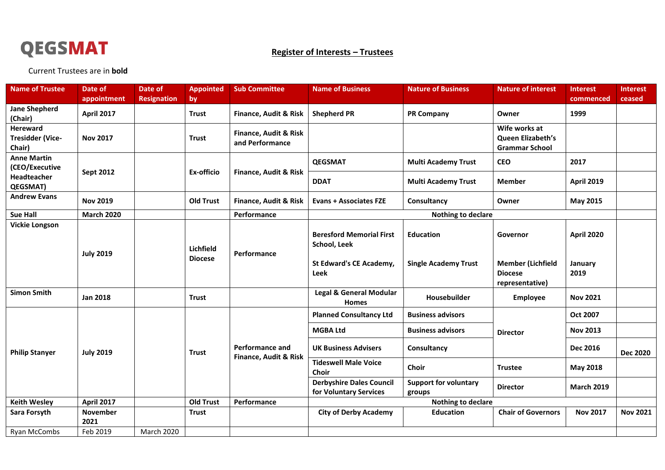

## **Register of Interests – Trustees**

Current Trustees are in **bold**

| <b>Name of Trustee</b>                               | Date of                 | <b>Date of</b>     | <b>Appointed</b> | <b>Sub Committee</b>                                | <b>Name of Business</b>                                   | <b>Nature of Business</b>              | <b>Nature of interest</b>                                     | <b>Interest</b>   | <b>Interest</b> |
|------------------------------------------------------|-------------------------|--------------------|------------------|-----------------------------------------------------|-----------------------------------------------------------|----------------------------------------|---------------------------------------------------------------|-------------------|-----------------|
|                                                      | appointment             | <b>Resignation</b> | by               |                                                     |                                                           |                                        |                                                               | commenced         | ceased          |
| <b>Jane Shepherd</b><br>(Chair)                      | <b>April 2017</b>       |                    | <b>Trust</b>     | <b>Finance, Audit &amp; Risk</b>                    | <b>Shepherd PR</b>                                        | <b>PR Company</b>                      | Owner                                                         | 1999              |                 |
| <b>Hereward</b><br><b>Tresidder (Vice-</b><br>Chair) | <b>Nov 2017</b>         |                    | <b>Trust</b>     | <b>Finance, Audit &amp; Risk</b><br>and Performance |                                                           |                                        | Wife works at<br>Queen Elizabeth's<br><b>Grammar School</b>   |                   |                 |
| <b>Anne Martin</b><br>(CEO/Executive                 | <b>Sept 2012</b>        |                    | Ex-officio       | Finance, Audit & Risk                               | <b>QEGSMAT</b>                                            | <b>Multi Academy Trust</b>             | <b>CEO</b>                                                    | 2017              |                 |
| Headteacher<br>QEGSMAT)                              |                         |                    |                  |                                                     | <b>DDAT</b>                                               | <b>Multi Academy Trust</b>             | <b>Member</b>                                                 | <b>April 2019</b> |                 |
| <b>Andrew Evans</b>                                  | <b>Nov 2019</b>         |                    | <b>Old Trust</b> | Finance, Audit & Risk                               | <b>Evans + Associates FZE</b>                             | Consultancy                            | Owner                                                         | May 2015          |                 |
| <b>Sue Hall</b>                                      | <b>March 2020</b>       |                    |                  | Performance                                         | <b>Nothing to declare</b>                                 |                                        |                                                               |                   |                 |
| <b>Vickie Longson</b>                                | <b>July 2019</b>        |                    | Lichfield        | Performance                                         | <b>Beresford Memorial First</b><br>School, Leek           | <b>Education</b>                       | Governor                                                      | <b>April 2020</b> |                 |
|                                                      |                         |                    | <b>Diocese</b>   |                                                     | St Edward's CE Academy,<br>Leek                           | <b>Single Academy Trust</b>            | <b>Member (Lichfield</b><br><b>Diocese</b><br>representative) | January<br>2019   |                 |
| <b>Simon Smith</b>                                   | <b>Jan 2018</b>         |                    | <b>Trust</b>     |                                                     | <b>Legal &amp; General Modular</b><br><b>Homes</b>        | Housebuilder                           | <b>Employee</b>                                               | <b>Nov 2021</b>   |                 |
| <b>Philip Stanyer</b>                                | <b>July 2019</b>        |                    | <b>Trust</b>     | <b>Performance and</b><br>Finance, Audit & Risk     | <b>Planned Consultancy Ltd</b>                            | <b>Business advisors</b>               | <b>Director</b>                                               | Oct 2007          |                 |
|                                                      |                         |                    |                  |                                                     | <b>MGBA Ltd</b>                                           | <b>Business advisors</b>               |                                                               | <b>Nov 2013</b>   |                 |
|                                                      |                         |                    |                  |                                                     | <b>UK Business Advisers</b>                               | Consultancy                            |                                                               | Dec 2016          | <b>Dec 2020</b> |
|                                                      |                         |                    |                  |                                                     | <b>Tideswell Male Voice</b><br>Choir                      | Choir                                  | <b>Trustee</b>                                                | May 2018          |                 |
|                                                      |                         |                    |                  |                                                     | <b>Derbyshire Dales Council</b><br>for Voluntary Services | <b>Support for voluntary</b><br>groups | <b>Director</b>                                               | <b>March 2019</b> |                 |
| <b>Keith Wesley</b>                                  | <b>April 2017</b>       |                    | <b>Old Trust</b> | Performance                                         | <b>Nothing to declare</b>                                 |                                        |                                                               |                   |                 |
| Sara Forsyth                                         | <b>November</b><br>2021 |                    | <b>Trust</b>     |                                                     | <b>City of Derby Academy</b>                              | <b>Education</b>                       | <b>Chair of Governors</b>                                     | <b>Nov 2017</b>   | <b>Nov 2021</b> |
| Ryan McCombs                                         | Feb 2019                | <b>March 2020</b>  |                  |                                                     |                                                           |                                        |                                                               |                   |                 |